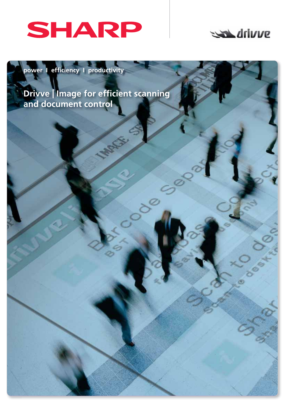

## drivve

**power I efficiency I productivity** 

**Drivve | Image for efficient scanning and document control**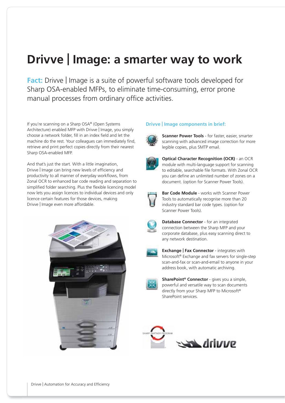# **Drivve | Image: a smarter way to work**

**Fact:** Drivve | Image is a suite of powerful software tools developed for Sharp OSA-enabled MFPs, to eliminate time-consuming, error prone manual processes from ordinary office activities.

If you're scanning on a Sharp OSA® (Open Systems Architecture) enabled MFP with Drivve | Image, you simply choose a network folder, fill in an index field and let the machine do the rest. Your colleagues can immediately find, retrieve and print perfect copies directly from their nearest Sharp OSA-enabled MFP.

And that's just the start. With a little imagination, Drivve | Image can bring new levels of efficiency and productivity to all manner of everyday workflows, from Zonal OCR to enhanced bar code reading and separation to simplified folder searching. Plus the flexible licencing model now lets you assign licences to individual devices and only licence certain features for those devices, making Drivve | Image even more affordable.



#### **Drivve | Image components in brief:**



 **Scanner Power Tools** - for faster, easier, smarter scanning with advanced image correction for more legible copies, plus SMTP email.



 **Optical Character Recognition (OCR)** - an OCR module with multi-language support for scanning to editable, searchable file formats. With Zonal OCR you can define an unlimited number of zones on a document. (option for Scanner Power Tools).



 **Bar Code Module** - works with Scanner Power Tools to automatically recognise more than 20 industry standard bar code types. (option for Scanner Power Tools).

 **Database Connector** - for an integrated connection between the Sharp MFP and your corporate database, plus easy scanning direct to any network destination.



 **Exchange | Fax Connector** - integrates with Microsoft® Exchange and fax servers for single-step scan-and-fax or scan-and-email to anyone in your address book, with automatic archiving.



 **SharePoint® Connector** - gives you a simple, powerful and versatile way to scan documents directly from your Sharp MFP to Microsoft® SharePoint services.

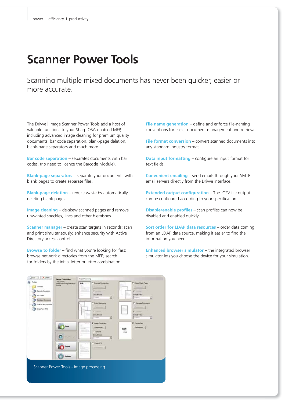## **Scanner Power Tools**

Scanning multiple mixed documents has never been quicker, easier or more accurate.

The Drivve | Image Scanner Power Tools add a host of valuable functions to your Sharp OSA-enabled MFP, including advanced image cleaning for premium quality documents; bar code separation, blank-page deletion, blank-page separators and much more.

**Bar code separation** – separates documents with bar codes. (no need to licence the Barcode Module).

**Blank-page separators** – separate your documents with blank pages to create separate files.

**Blank-page deletion** – reduce waste by automatically deleting blank pages.

**Image cleaning** – de-skew scanned pages and remove unwanted speckles, lines and other blemishes.

**Scanner manager** – create scan targets in seconds; scan and print simultaneously; enhance security with Active Directory access control.

**Browse to folder** – find what you're looking for fast; browse network directories from the MFP; search for folders by the initial letter or letter combination.

**File name generation** – define and enforce file-naming conventions for easier document management and retrieval.

**File format conversion** – convert scanned documents into any standard industry format.

**Data input formatting** – configure an input format for text fields.

**Convenient emailing** – send emails through your SMTP email servers directly from the Drivve interface.

**Extended output configuration** – The .CSV file output can be configured according to your specification.

**Disable/enable profiles** – scan profiles can now be disabled and enabled quickly.

**Sort order for LDAP data resources** – order data coming from an LDAP data source, making it easier to find the information you need.

**Enhanced browser simulator** – the integrated browser simulator lets you choose the device for your simulation.

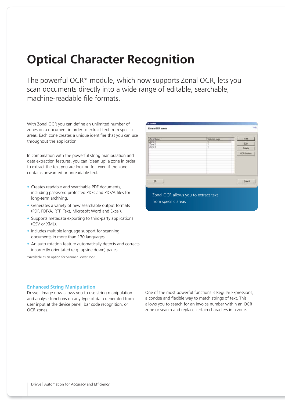## **Optical Character Recognition**

The powerful OCR\* module, which now supports Zonal OCR, lets you scan documents directly into a wide range of editable, searchable, machine-readable file formats

With Zonal OCR you can define an unlimited number of zones on a document in order to extract text from specific areas. Each zone creates a unique identifier that you can use throughout the application.

In combination with the powerful string manipulation and data extraction features, you can 'clean up' a zone in order to extract the text you are looking for, even if the zone contains unwanted or unreadable text.

- Creates readable and searchable PDF documents, including password protected PDFs and PDF/A files for long-term archiving.
- Generates a variety of new searchable output formats (PDF, PDF/A, RTF, Text, Microsoft Word and Excel).
- Supports metadata exporting to third-party applications (CSV or XML).
- Includes multiple language support for scanning documents in more than 130 languages.
- An auto rotation feature automatically detects and corrects incorrectly orientated (e.g. upside down) pages.

\*Available as an option for Scanner Power Tools

| Create OCR zones                        |                                      |                                    |
|-----------------------------------------|--------------------------------------|------------------------------------|
| Zone Name<br>Zone 1<br>Zone 2<br>Zero 3 | Selected page                        | Add<br>Læ<br>Delete<br>OCR Options |
| QK.                                     | Zonal OCR allows you to extract text | Carcel                             |

#### **Enhanced String Manipulation**

Drivve | Image now allows you to use string manipulation and analyse functions on any type of data generated from user input at the device panel, bar code recognition, or OCR zones.

One of the most powerful functions is Regular Expressions, a concise and flexible way to match strings of text. This allows you to search for an invoice number within an OCR zone or search and replace certain characters in a zone.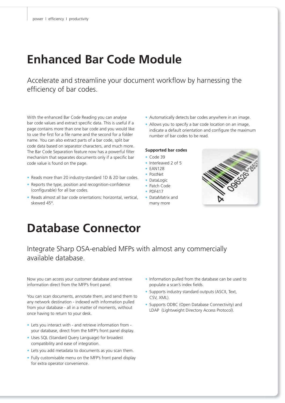## **Enhanced Bar Code Module**

Accelerate and streamline your document workflow by harnessing the efficiency of bar codes.

With the enhanced Bar Code Reading you can analyse bar code values and extract specific data. This is useful if a page contains more than one bar code and you would like to use the first for a file name and the second for a folder name. You can also extract parts of a bar code, split bar code data based on separator characters, and much more. The Bar Code Separation feature now has a powerful filter mechanism that separates documents only if a specific bar code value is found on the page.

- Reads more than 20 industry-standard 1D & 2D bar codes.
- Reports the type, position and recognition-confidence (configurable) for all bar codes.
- Reads almost all bar code orientations: horizontal, vertical, skewed 45°.
- Automatically detects bar codes anywhere in an image.
- Allows you to specify a bar code location on an image, indicate a default orientation and configure the maximum number of bar codes to be read.

#### **Supported bar codes**

- Code 39
- Interleaved 2 of 5
- EAN128
- PostNet
- DataLogic
- Patch Code
- PDF417
- DataMatrix and many more



### **Database Connector**

### Integrate Sharp OSA-enabled MFPs with almost any commercially available database.

Now you can access your customer database and retrieve information direct from the MFP's front panel.

You can scan documents, annotate them, and send them to any network destination - indexed with information pulled from your database - all in a matter of moments, without once having to return to your desk.

- Lets you interact with and retrieve information from your database, direct from the MFP's front panel display.
- Uses SQL (Standard Query Language) for broadest compatibility and ease of integration.
- Lets you add metadata to documents as you scan them.
- Fully customisable menu on the MFP's front panel display for extra operator convenience.
- Information pulled from the database can be used to populate a scan's index fields.
- Supports industry standard outputs (ASCII, Text, CSV, XML).
- Supports ODBC (Open Database Connectivity) and LDAP (Lightweight Directory Access Protocol).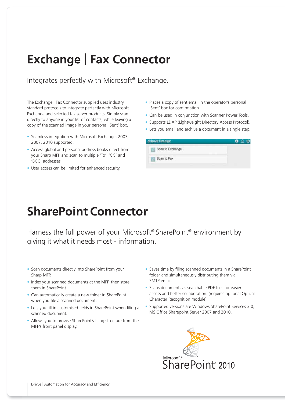# **Exchange | Fax Connector**

Integrates perfectly with Microsoft® Exchange.

The Exchange I Fax Connector supplied uses industry standard protocols to integrate perfectly with Microsoft Exchange and selected fax server products. Simply scan directly to anyone in your list of contacts, while leaving a copy of the scanned image in your personal 'Sent' box.

- Seamless integration with Microsoft Exchange; 2003, 2007, 2010 supported.
- Access global and personal address books direct from your Sharp MFP and scan to multiple 'To', 'CC' and 'BCC' addresses.
- User access can be limited for enhanced security.
- Places a copy of sent email in the operator's personal 'Sent' box for confirmation.
- Can be used in conjunction with Scanner Power Tools.
- Supports LDAP (Lightweight Directory Access Protocol).
- Lets you email and archive a document in a single step.

| drivue limage    |  |
|------------------|--|
| Scan to Exchange |  |
| Scan to Fax      |  |

## **SharePoint Connector**

Harness the full power of your Microsoft® SharePoint® environment by giving it what it needs most - information.

- Scan documents directly into SharePoint from your Sharp MFP.
- Index your scanned documents at the MFP, then store them in SharePoint.
- Can automatically create a new folder in SharePoint when you file a scanned document.
- Lets you fill in customised fields in SharePoint when filing a scanned document.
- Allows you to browse SharePoint's filing structure from the MFP's front panel display.
- Saves time by filing scanned documents in a SharePoint folder and simultaneously distributing them via SMTP email.
- Scans documents as searchable PDF files for easier access and better collaboration. (requires optional Optical Character Recognition module).
- Supported versions are Windows SharePoint Services 3.0, MS Office Sharepoint Server 2007 and 2010.

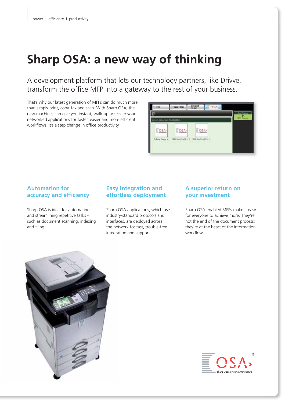# **Sharp OSA: a new way of thinking**

A development platform that lets our technology partners, like Drivve, transform the office MFP into a gateway to the rest of your business.

That's why our latest generation of MFPs can do much more than simply print, copy, fax and scan. With Sharp OSA, the new machines can give you instant, walk-up access to your networked applications for faster, easier and more efficient workflows. It's a step change in office productivity.



### **Automation for accuracy and efficiency**

Sharp OSA is ideal for automating and streamlining repetitive tasks such as document scanning, indexing and filing.

### **Easy integration and effortless deployment**

Sharp OSA applications, which use industry-standard protocols and interfaces, are deployed across the network for fast, trouble-free integration and support.

### **A superior return on your investment**

Sharp OSA-enabled MFPs make it easy for everyone to achieve more. They're not the end of the document process; they're at the heart of the information workflow.